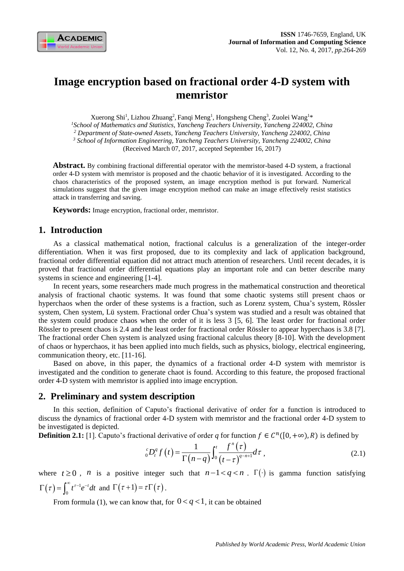

# **Image encryption based on fractional order 4-D system with memristor**

Xuerong Shi<sup>1</sup>, Lizhou Zhuang<sup>2</sup>, Fanqi Meng<sup>1</sup>, Hongsheng Cheng<sup>3</sup>, Zuolei Wang<sup>1\*</sup> *<sup>1</sup>School of Mathematics and Statistics, Yancheng Teachers University, Yancheng 224002, China <sup>2</sup> Department of State-owned Assets, Yancheng Teachers University, Yancheng 224002, China <sup>3</sup> School of Information Engineering, Yancheng Teachers University, Yancheng 224002, China* (Received March 07, 2017, accepted September 16, 2017)

**Abstract.** By combining fractional differential operator with the memristor-based 4-D system, a fractional order 4-D system with memristor is proposed and the chaotic behavior of it is investigated. According to the chaos characteristics of the proposed system, an image encryption method is put forward. Numerical simulations suggest that the given image encryption method can make an image effectively resist statistics attack in transferring and saving.

**Keywords:** Image encryption, fractional order, memristor.

# **1. Introduction**

0

As a classical mathematical notion, fractional calculus is a generalization of the integer-order differentiation. When it was first proposed, due to its complexity and lack of application background, fractional order differential equation did not attract much attention of researchers. Until recent decades, it is proved that fractional order differential equations play an important role and can better describe many systems in science and engineering [1-4].

In recent years, some researchers made much progress in the mathematical construction and theoretical analysis of fractional chaotic systems. It was found that some chaotic systems still present chaos or hyperchaos when the order of these systems is a fraction, such as Lorenz system, Chua's system, Rössler system, Chen system, Lüsystem. Fractional order Chua's system was studied and a result was obtained that the system could produce chaos when the order of it is less 3 [5, 6]. The least order for fractional order Rössler to present chaos is 2.4 and the least order for fractional order Rössler to appear hyperchaos is 3.8 [7]. The fractional order Chen system is analyzed using fractional calculus theory [8-10]. With the development of chaos or hyperchaos, it has been applied into much fields, such as physics, biology, electrical engineering, communication theory, etc. [11-16].

Based on above, in this paper, the dynamics of a fractional order 4-D system with memristor is investigated and the condition to generate chaot is found. According to this feature, the proposed fractional order 4-D system with memristor is applied into image encryption.

## **2. Preliminary and system description**

In this section, definition of Caputo's fractional derivative of order for a function is introduced to discuss the dynamics of fractional order 4-D system with memristor and the fractional order 4-D system to be investigated is depicted.

**Definition 2.1:** [1]. Caputo's fractional derivative of order q for function  $f \in C^n([0, +\infty), R)$  is defined by

$$
{}_{0}^{c}D_{t}^{q}f\left(t\right)=\frac{1}{\Gamma\left(n-q\right)}\int_{0}^{t}\frac{f^{n}\left(\tau\right)}{\left(t-\tau\right)^{q-n+1}}d\tau\;, \tag{2.1}
$$

where  $t \ge 0$ , *n* is a positive integer such that  $n-1 < q < n$ .  $\Gamma(\cdot)$  is gamma function satisfying  $\left(\tau\right)=\int_{0}^{\infty}t^{\tau-1}% (t)\left(\tau\right)dt$  $\Gamma(\tau) = \int_0^\infty t^{\tau-1} e^{-t} dt$  and  $\Gamma(\tau+1) = \tau \Gamma(\tau)$ .

From formula (1), we can know that, for  $0 < q < 1$ , it can be obtained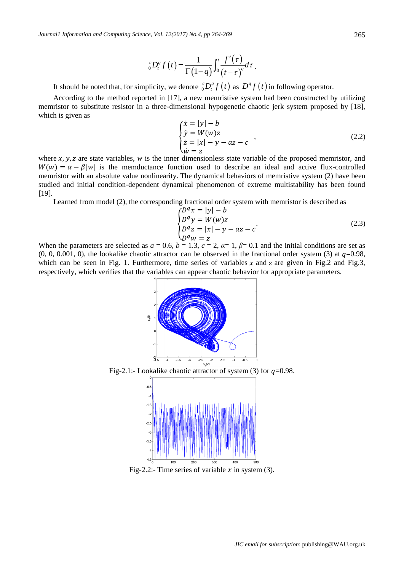$$
{}_{0}^{c}D_{t}^{q}f(t)=\frac{1}{\Gamma(1-q)}\int_{0}^{t}\frac{f^{\prime}(\tau)}{(t-\tau)^{q}}d\tau.
$$

It should be noted that, for simplicity, we denote  ${}_{0}^{c}D_{t}^{q}f(t)$  as  $D^{q}f(t)$  in following operator.

According to the method reported in [17], a new memristive system had been constructed by utilizing memristor to substitute resistor in a three-dimensional hypogenetic chaotic jerk system proposed by [18], which is given as

$$
\begin{cases}\n\dot{x} = |y| - b \\
\dot{y} = W(w)z \\
\dot{z} = |x| - y - az - c\n\end{cases}
$$
\n(2.2)

where  $x, y, z$  are state variables, *w* is the inner dimensionless state variable of the proposed memristor, and  $W(w) = \alpha - \beta |w|$  is the memductance function used to describe an ideal and active flux-controlled memristor with an absolute value nonlinearity. The dynamical behaviors of memristive system (2) have been studied and initial condition-dependent dynamical phenomenon of extreme multistability has been found [19].

Learned from model (2), the corresponding fractional order system with memristor is described as

$$
\begin{cases}\nD^q x = |y| - b \\
D^q y = W(w)z \\
D^q z = |x| - y - az - c \\
D^q w = z\n\end{cases}
$$
\n(2.3)

When the parameters are selected as  $a = 0.6$ ,  $b = 1.3$ ,  $c = 2$ ,  $a = 1$ ,  $\beta = 0.1$  and the initial conditions are set as  $(0, 0, 0.001, 0)$ , the lookalike chaotic attractor can be observed in the fractional order system (3) at  $q=0.98$ , which can be seen in Fig. 1. Furthermore, time series of variables  $x$  and  $z$  are given in Fig.2 and Fig.3, respectively, which verifies that the variables can appear chaotic behavior for appropriate parameters.



Fig-2.2:- Time series of variable  $x$  in system (3).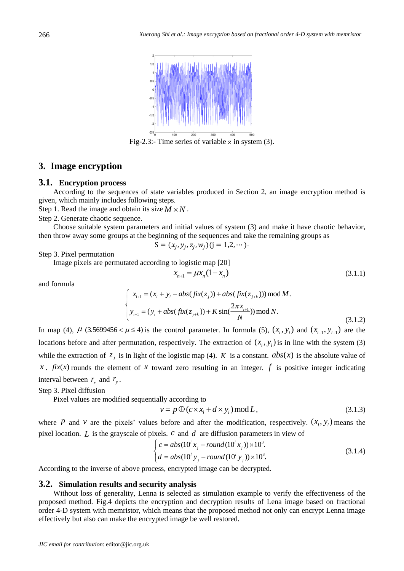

Fig-2.3:- Time series of variable  $z$  in system (3).

### **3. Image encryption**

#### **3.1. Encryption process**

According to the sequences of state variables produced in Section 2, an image encryption method is given, which mainly includes following steps.

Step 1. Read the image and obtain its size  $M \times N$ .

Step 2. Generate chaotic sequence.

Choose suitable system parameters and initial values of system (3) and make it have chaotic behavior, then throw away some groups at the beginning of the sequences and take the remaining groups as

$$
S = (x_j, y_j, z_j, w_j)(j = 1, 2, \cdots).
$$

Step 3. Pixel permutation

Image pixels are permutated according to logistic map [20]

$$
x_{n+1} = \mu x_n (1 - x_n)
$$
\n(3.1.1)

and formula

$$
\begin{cases}\n x_{i+1} = (x_i + y_i + abs(fix(z_j)) + abs(fix(z_{j+k}))) \mod M. \\
 y_{i+1} = (y_i + abs(fix(z_{j+k})) + K \sin(\frac{2\pi x_{i+1}}{N})) \mod N. \\
 & (3.1.2)\n\end{cases}
$$

In map (4),  $\mu$  (3.5699456 <  $\mu$  ≤ 4) is the control parameter. In formula (5),  $(x_i, y_i)$  and  $(x_{i+1}, y_{i+1})$  are the locations before and after permutation, respectively. The extraction of  $(x_i, y_i)$  is in line with the system (3) while the extraction of  $z_j$  is in light of the logistic map (4). K is a constant.  $abs(x)$  is the absolute value of x.  $fix(x)$  rounds the element of x toward zero resulting in an integer. f is positive integer indicating interval between  $r_x$  and  $r_y$ .

Step 3. Pixel diffusion

Pixel values are modified sequentially according to

$$
v = p \oplus (c \times x_i + d \times y_i) \mod L, \tag{3.1.3}
$$

where *P* and *v* are the pixels' values before and after the modification, respectively.  $(x_i, y_i)$  means the pixel location. *L* is the grayscale of pixels. *<sup>c</sup>* and *d* are diffusion parameters in view of

$$
\begin{cases}\nc = abs(10^t x_j - round(10^t x_j)) \times 10^3. \\
d = abs(10^t y_j - round(10^t y_j)) \times 10^3.\n\end{cases}
$$
\n(3.1.4)

According to the inverse of above process, encrypted image can be decrypted.

#### **3.2. Simulation results and security analysis**

Without loss of generality, Lenna is selected as simulation example to verify the effectiveness of the proposed method. Fig.4 depicts the encryption and decryption results of Lena image based on fractional order 4-D system with memristor, which means that the proposed method not only can encrypt Lenna image effectively but also can make the encrypted image be well restored.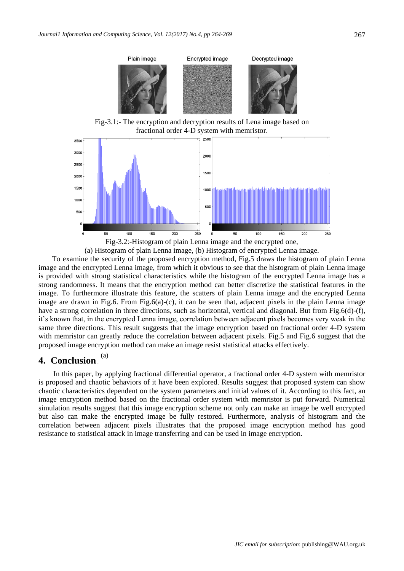

Fig-3.1:- The encryption and decryption results of Lena image based on fractional order 4-D system with memristor.



(a) Histogram of plain Lenna image, (b) Histogram of encrypted Lenna image.

To examine the security of the proposed encryption method, Fig.5 draws the histogram of plain Lenna image and the encrypted Lenna image, from which it obvious to see that the histogram of plain Lenna image is provided with strong statistical characteristics while the histogram of the encrypted Lenna image has a strong randomness. It means that the encryption method can better discretize the statistical features in the image. To furthermore illustrate this feature, the scatters of plain Lenna image and the encrypted Lenna image are drawn in Fig.6. From Fig.6(a)-(c), it can be seen that, adjacent pixels in the plain Lenna image have a strong correlation in three directions, such as horizontal, vertical and diagonal. But from Fig.6(d)-(f), it's known that, in the encrypted Lenna image, correlation between adjacent pixels becomes very weak in the same three directions. This result suggests that the image encryption based on fractional order 4-D system with memristor can greatly reduce the correlation between adjacent pixels. Fig.5 and Fig.6 suggest that the proposed image encryption method can make an image resist statistical attacks effectively.

#### **4. Conclusion** (a)

In this paper, by applying fractional differential operator, a fractional order 4-D system with memristor is proposed and chaotic behaviors of it have been explored. Results suggest that proposed system can show chaotic characteristics dependent on the system parameters and initial values of it. According to this fact, an image encryption method based on the fractional order system with memristor is put forward. Numerical simulation results suggest that this image encryption scheme not only can make an image be well encrypted but also can make the encrypted image be fully restored. Furthermore, analysis of histogram and the correlation between adjacent pixels illustrates that the proposed image encryption method has good resistance to statistical attack in image transferring and can be used in image encryption.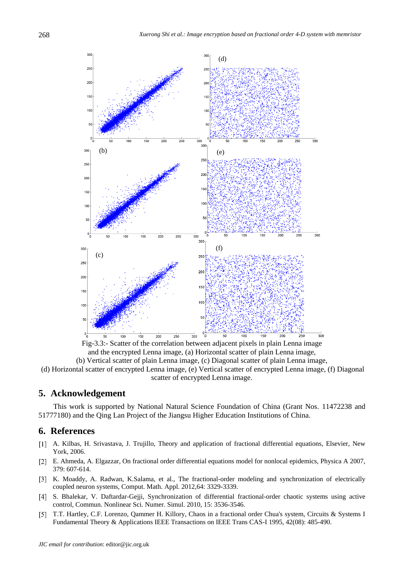

Fig-3.3:- Scatter of the correlation between adjacent pixels in plain Lenna image and the encrypted Lenna image, (a) Horizontal scatter of plain Lenna image, (b) Vertical scatter of plain Lenna image, (c) Diagonal scatter of plain Lenna image,

(d) Horizontal scatter of encrypted Lenna image, (e) Vertical scatter of encrypted Lenna image, (f) Diagonal scatter of encrypted Lenna image.

# **5. Acknowledgement**

This work is supported by National Natural Science Foundation of China (Grant Nos. 11472238 and 51777180) and the Qing Lan Project of the Jiangsu Higher Education Institutions of China.

# **6. References**

- A. Kilbas, H. Srivastava, J. Trujillo, Theory and application of fractional differential equations, Elsevier, New York, 2006.
- E. Ahmeda, A. Elgazzar, On fractional order differential equations model for nonlocal epidemics, Physica A 2007, 379: 607-614.
- [3] K. Moaddy, A. Radwan, K.Salama, et al., The fractional-order modeling and synchronization of electrically coupled neuron systems, Comput. Math. Appl. 2012,64: 3329-3339.
- [4] S. Bhalekar, V. Daftardar-Gejji, Synchronization of differential fractional-order chaotic systems using active control, Commun. Nonlinear Sci. Numer. Simul. 2010, 15: 3536-3546.
- T.T. Hartley, C.F. Lorenzo, Qammer H. Killory, Chaos in a fractional order Chua's system, Circuits & Systems I Fundamental Theory & Applications IEEE Transactions on IEEE Trans CAS-I 1995, 42(08): 485-490.